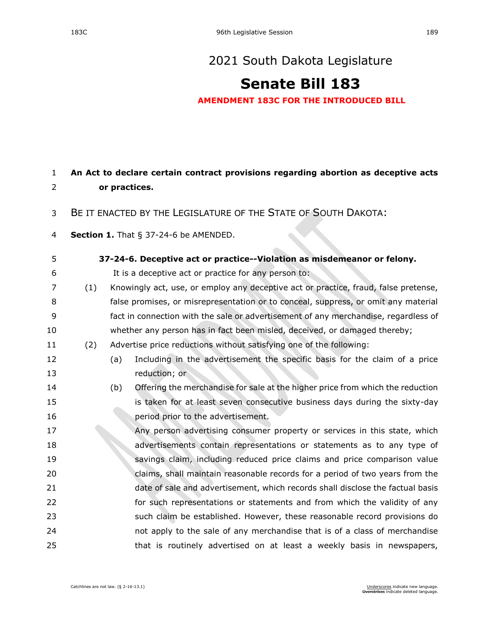## **[Senate Bill 183](https://sdlegislature.gov/Session/Bill/21911)**

**AMENDMENT 183C FOR THE INTRODUCED BILL**

## **An Act to declare certain contract provisions regarding abortion as deceptive acts or practices.**

- BE IT ENACTED BY THE LEGISLATURE OF THE STATE OF SOUTH DAKOTA:
- **Section 1.** [That § 37-24-6 be AMENDED.](https://sdlegislature.gov/Statutes/Codified_Laws/DisplayStatute.aspx?Type=Statute&Statute=37-24-6)

## **[37-24-6. D](https://sdlegislature.gov/Statutes/Codified_Laws/DisplayStatute.aspx?Type=Statute&Statute=37-24-6)eceptive act or practice--Violation as misdemeanor or felony.**

- It is a deceptive act or practice for any person to:
- (1) Knowingly act, use, or employ any deceptive act or practice, fraud, false pretense, false promises, or misrepresentation or to conceal, suppress, or omit any material fact in connection with the sale or advertisement of any merchandise, regardless of whether any person has in fact been misled, deceived, or damaged thereby;
- (2) Advertise price reductions without satisfying one of the following:
- (a) Including in the advertisement the specific basis for the claim of a price reduction; or
- (b) Offering the merchandise for sale at the higher price from which the reduction is taken for at least seven consecutive business days during the sixty-day **period prior to the advertisement.**
- Any person advertising consumer property or services in this state, which advertisements contain representations or statements as to any type of savings claim, including reduced price claims and price comparison value claims, shall maintain reasonable records for a period of two years from the date of sale and advertisement, which records shall disclose the factual basis **for such representations or statements and from which the validity of any**  such claim be established. However, these reasonable record provisions do not apply to the sale of any merchandise that is of a class of merchandise 25 that is routinely advertised on at least a weekly basis in newspapers,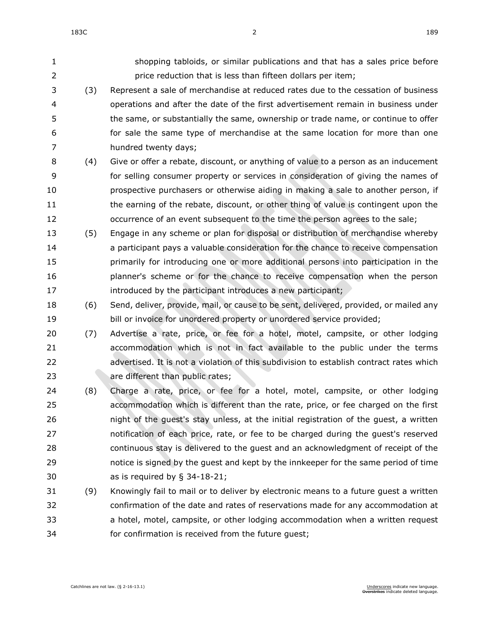shopping tabloids, or similar publications and that has a sales price before price reduction that is less than fifteen dollars per item; (3) Represent a sale of merchandise at reduced rates due to the cessation of business operations and after the date of the first advertisement remain in business under the same, or substantially the same, ownership or trade name, or continue to offer for sale the same type of merchandise at the same location for more than one hundred twenty days; (4) Give or offer a rebate, discount, or anything of value to a person as an inducement for selling consumer property or services in consideration of giving the names of prospective purchasers or otherwise aiding in making a sale to another person, if 11 the earning of the rebate, discount, or other thing of value is contingent upon the occurrence of an event subsequent to the time the person agrees to the sale; (5) Engage in any scheme or plan for disposal or distribution of merchandise whereby a participant pays a valuable consideration for the chance to receive compensation primarily for introducing one or more additional persons into participation in the planner's scheme or for the chance to receive compensation when the person **introduced by the participant introduces a new participant;**  (6) Send, deliver, provide, mail, or cause to be sent, delivered, provided, or mailed any bill or invoice for unordered property or unordered service provided; (7) Advertise a rate, price, or fee for a hotel, motel, campsite, or other lodging accommodation which is not in fact available to the public under the terms advertised. It is not a violation of this subdivision to establish contract rates which **are different than public rates;**  (8) Charge a rate, price, or fee for a hotel, motel, campsite, or other lodging accommodation which is different than the rate, price, or fee charged on the first night of the guest's stay unless, at the initial registration of the guest, a written notification of each price, rate, or fee to be charged during the guest's reserved continuous stay is delivered to the guest and an acknowledgment of receipt of the notice is signed by the guest and kept by the innkeeper for the same period of time as is required by § [34-18-21;](https://sdlegislature.gov/Statutes/Codified_Laws/DisplayStatute.aspx?Type=Statute&Statute=34-18-21) (9) Knowingly fail to mail or to deliver by electronic means to a future guest a written confirmation of the date and rates of reservations made for any accommodation at a hotel, motel, campsite, or other lodging accommodation when a written request

for confirmation is received from the future guest;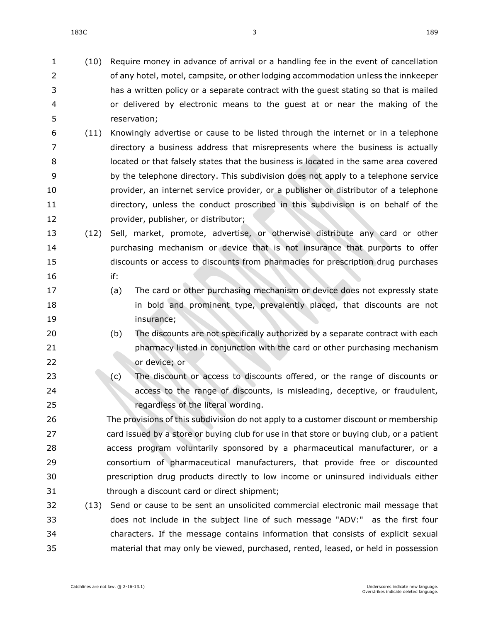183C 3 189

 (10) Require money in advance of arrival or a handling fee in the event of cancellation of any hotel, motel, campsite, or other lodging accommodation unless the innkeeper has a written policy or a separate contract with the guest stating so that is mailed or delivered by electronic means to the guest at or near the making of the reservation;

- (11) Knowingly advertise or cause to be listed through the internet or in a telephone directory a business address that misrepresents where the business is actually located or that falsely states that the business is located in the same area covered by the telephone directory. This subdivision does not apply to a telephone service provider, an internet service provider, or a publisher or distributor of a telephone directory, unless the conduct proscribed in this subdivision is on behalf of the provider, publisher, or distributor;
- (12) Sell, market, promote, advertise, or otherwise distribute any card or other purchasing mechanism or device that is not insurance that purports to offer discounts or access to discounts from pharmacies for prescription drug purchases if:
- (a) The card or other purchasing mechanism or device does not expressly state **in bold and prominent type, prevalently placed, that discounts are not** insurance;
- (b) The discounts are not specifically authorized by a separate contract with each pharmacy listed in conjunction with the card or other purchasing mechanism or device; or
- 23 (c) The discount or access to discounts offered, or the range of discounts or access to the range of discounts, is misleading, deceptive, or fraudulent, regardless of the literal wording.

 The provisions of this subdivision do not apply to a customer discount or membership card issued by a store or buying club for use in that store or buying club, or a patient access program voluntarily sponsored by a pharmaceutical manufacturer, or a consortium of pharmaceutical manufacturers, that provide free or discounted prescription drug products directly to low income or uninsured individuals either through a discount card or direct shipment;

 (13) Send or cause to be sent an unsolicited commercial electronic mail message that does not include in the subject line of such message "ADV:" as the first four characters. If the message contains information that consists of explicit sexual material that may only be viewed, purchased, rented, leased, or held in possession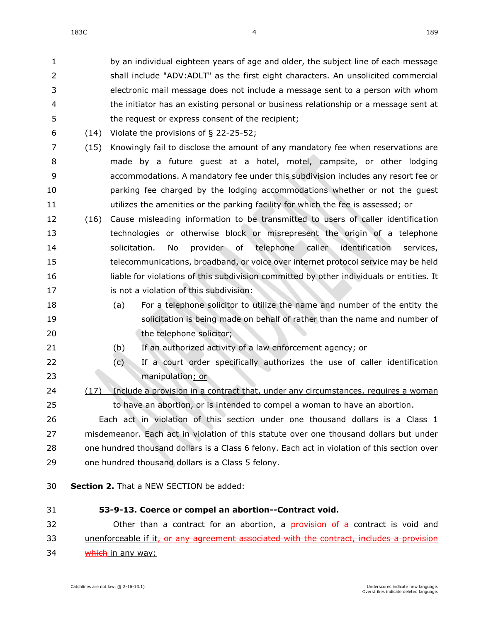by an individual eighteen years of age and older, the subject line of each message shall include "ADV:ADLT" as the first eight characters. An unsolicited commercial electronic mail message does not include a message sent to a person with whom the initiator has an existing personal or business relationship or a message sent at the request or express consent of the recipient;

- (14) Violate the provisions of § [22-25-52;](https://sdlegislature.gov/Statutes/Codified_Laws/DisplayStatute.aspx?Type=Statute&Statute=22-25-52)
- (15) Knowingly fail to disclose the amount of any mandatory fee when reservations are made by a future guest at a hotel, motel, campsite, or other lodging accommodations. A mandatory fee under this subdivision includes any resort fee or parking fee charged by the lodging accommodations whether or not the guest 11 utilizes the amenities or the parking facility for which the fee is assessed; or
- (16) Cause misleading information to be transmitted to users of caller identification technologies or otherwise block or misrepresent the origin of a telephone solicitation. No provider of telephone caller identification services, telecommunications, broadband, or voice over internet protocol service may be held liable for violations of this subdivision committed by other individuals or entities. It **is not a violation of this subdivision:**
- (a) For a telephone solicitor to utilize the name and number of the entity the solicitation is being made on behalf of rather than the name and number of 20 the telephone solicitor;
- (b) If an authorized activity of a law enforcement agency; or
- (c) If a court order specifically authorizes the use of caller identification manipulation; or
- (17) Include a provision in a contract that, under any circumstances, requires a woman to have an abortion, or is intended to compel a woman to have an abortion.

 Each act in violation of this section under one thousand dollars is a Class 1 misdemeanor. Each act in violation of this statute over one thousand dollars but under one hundred thousand dollars is a Class 6 felony. Each act in violation of this section over one hundred thousand dollars is a Class 5 felony.

- **Section 2.** That a NEW SECTION be added:
- **53-9-13. Coerce or compel an abortion--Contract void.** Other than a contract for an abortion, a provision of a contract is void and 33 unenforceable if it, or any agreement associated with the contract, includes a provision 34 which in any way: